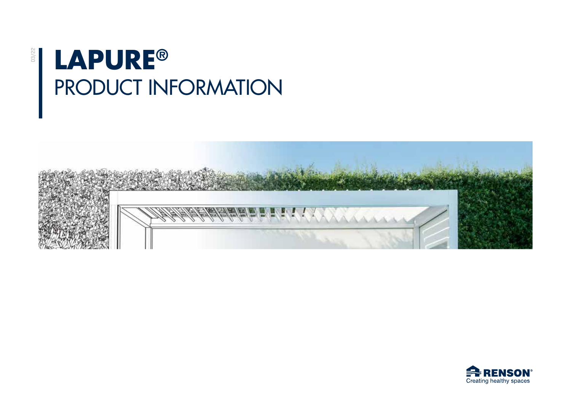# **LAPURE®** PRODUCT INFORMATION

03/22



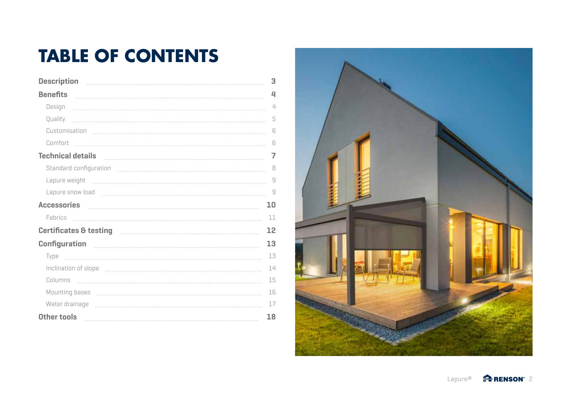# **TABLE OF CONTENTS**

| <b>Description</b>                                                                                                                                                                                                             | 3              |
|--------------------------------------------------------------------------------------------------------------------------------------------------------------------------------------------------------------------------------|----------------|
| <b>Benefits</b>                                                                                                                                                                                                                | $\overline{u}$ |
| Design                                                                                                                                                                                                                         | $\angle$       |
| Quality                                                                                                                                                                                                                        | 5              |
|                                                                                                                                                                                                                                | 6              |
| Comfort                                                                                                                                                                                                                        | 6              |
| Technical details <b>communicated</b> details                                                                                                                                                                                  | 7              |
|                                                                                                                                                                                                                                | 8              |
|                                                                                                                                                                                                                                | 9              |
| Lapure snow load (1000) contains the control of the control of the control of the control of the control of the control of the control of the control of the control of the control of the control of the control of the contr |                |
|                                                                                                                                                                                                                                |                |
|                                                                                                                                                                                                                                | 10             |
| Accessories Manual Communication of the Accessories Manual Communication of the Accessories Manual Communication<br><b>Fabrics</b>                                                                                             | 11             |
| Certificates & testing <b>continuum and the control of the control of the control of the control of the control o</b>                                                                                                          | 12             |
|                                                                                                                                                                                                                                | 13             |
| Type                                                                                                                                                                                                                           | 13             |
|                                                                                                                                                                                                                                | 14             |
| Columns                                                                                                                                                                                                                        | 15             |
|                                                                                                                                                                                                                                | 16             |
| Water drainage                                                                                                                                                                                                                 | 17             |

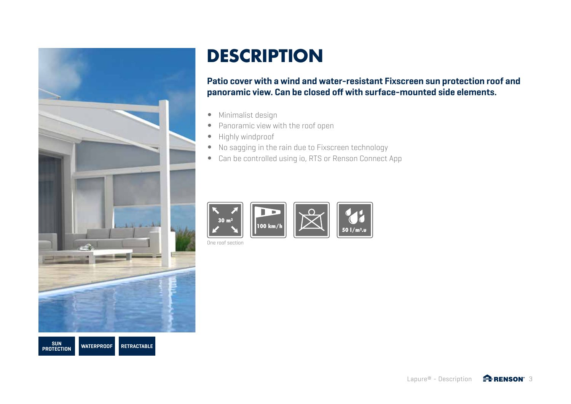

# **DESCRIPTION**

**Patio cover with a wind and water-resistant Fixscreen sun protection roof and panoramic view. Can be closed off with surface-mounted side elements.**

- Minimalist design
- Panoramic view with the roof open
- Highly windproof
- No sagging in the rain due to Fixscreen technology
- Can be controlled using io, RTS or Renson Connect App



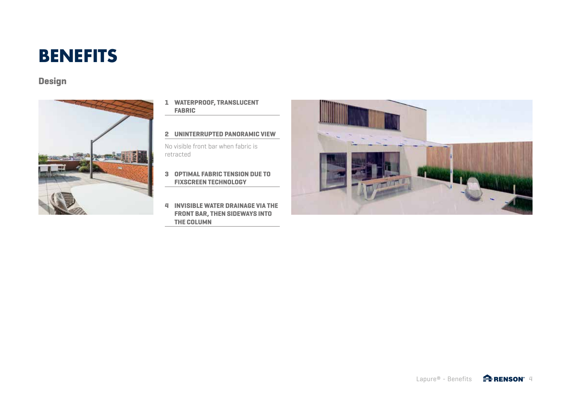# **BENEFITS**

# **Design**



- **1 WATERPROOF, TRANSLUCENT FABRIC**
- **2 UNINTERRUPTED PANORAMIC VIEW**

No visible front bar when fabric is retracted

- **3 OPTIMAL FABRIC TENSION DUE TO FIXSCREEN TECHNOLOGY**
- **4 INVISIBLE WATER DRAINAGE VIA THE FRONT BAR, THEN SIDEWAYS INTO THE COLUMN**

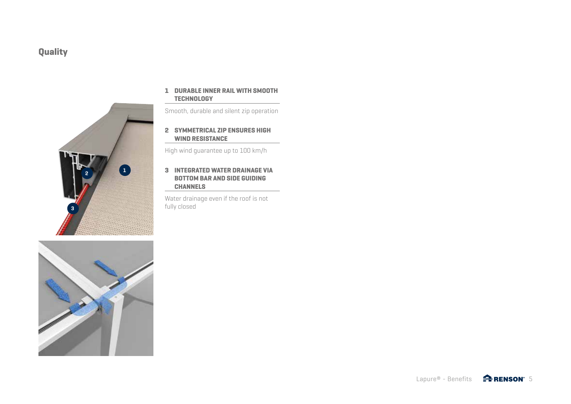# **Quality**



#### **1 DURABLE INNER RAIL WITH SMOOTH TECHNOLOGY**

Smooth, durable and silent zip operation

**2 SYMMETRICAL ZIP ENSURES HIGH WIND RESISTANCE** 

High wind guarantee up to 100 km/h

#### **3 INTEGRATED WATER DRAINAGE VIA BOTTOM BAR AND SIDE GUIDING CHANNELS**

Water drainage even if the roof is not fully closed

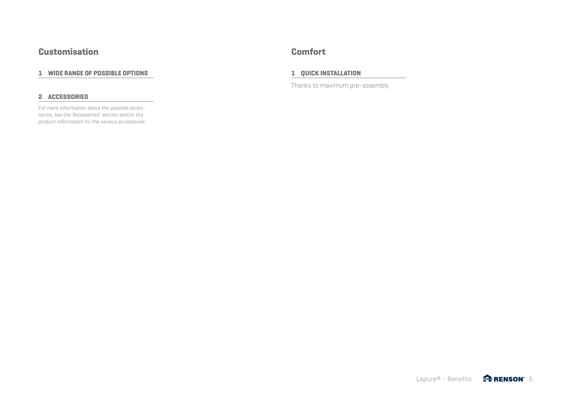### **Customisation Comfort**

#### **1 WIDE RANGE OF POSSIBLE OPTIONS**

#### **2 ACCESSORIES**

For more information about the possible accessories, see the 'Accessories' section and/or the product information for the various accessories.

#### **1 QUICK INSTALLATION**

Thanks to maximum pre-assembly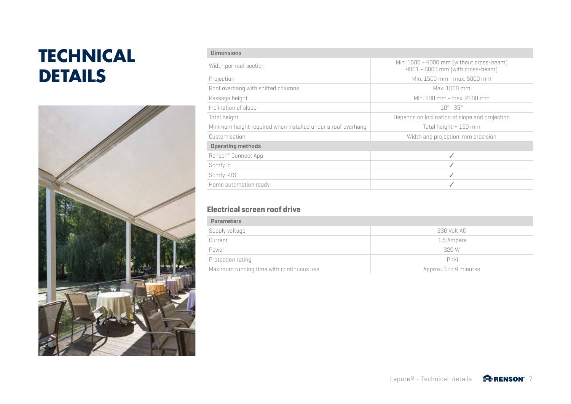# **TECHNICAL DETAILS**



| <b>Dimensions</b>                                            |                                                                              |
|--------------------------------------------------------------|------------------------------------------------------------------------------|
| Width per roof section                                       | Min. 1500 - 4000 mm (without cross-beam)<br>4001 - 6000 mm (with cross-beam) |
| Projection                                                   | Min. 1500 mm - max. 5000 mm                                                  |
| Roof overhang with shifted columns                           | Max. 1000 mm                                                                 |
| Passage height                                               | Min. 500 mm - max. 2900 mm                                                   |
| Inclination of slope                                         | $10^{\circ} - 35^{\circ}$                                                    |
| Total height                                                 | Depends on inclination of slope and projection                               |
| Minimum height required when installed under a roof overhang | Total height + 190 mm                                                        |
| Customisation                                                | Width and projection: mm precision                                           |
| <b>Operating methods</b>                                     |                                                                              |
| Renson® Connect App                                          | ✓                                                                            |
| Somfy io                                                     | ✓                                                                            |
| Somfy RTS                                                    | ✓                                                                            |
| Home automation ready                                        |                                                                              |

### **Electrical screen roof drive**

| <b>Parameters</b>                        |                        |
|------------------------------------------|------------------------|
| Supply voltage                           | 230 Volt AC            |
| Current                                  | 1.5 Ampère             |
| Power                                    | 320 W                  |
| Protection rating                        | IP 44                  |
| Maximum running time with continuous use | Approx. 3 to 4 minutes |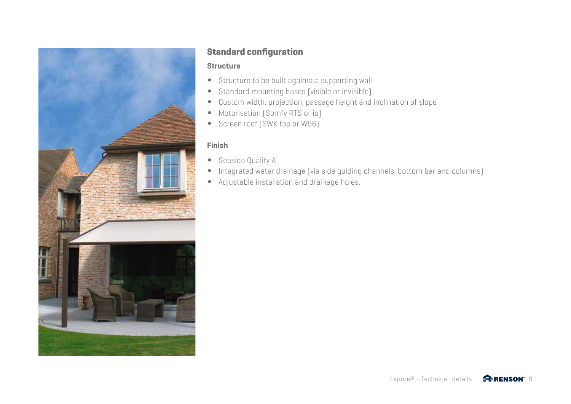

### **Standard configuration**

### **Structure**

- Structure to be built against a supporting wall
- Standard mounting bases (visible or invisible)
- Custom width, projection, passage height and inclination of slope
- Motorisation (Somfy RTS or io)
- Screen roof (SWK top or W96)

### **Finish**

- Seaside Quality A
- Integrated water drainage (via side guiding channels, bottom bar and columns)
- Adjustable installation and drainage holes.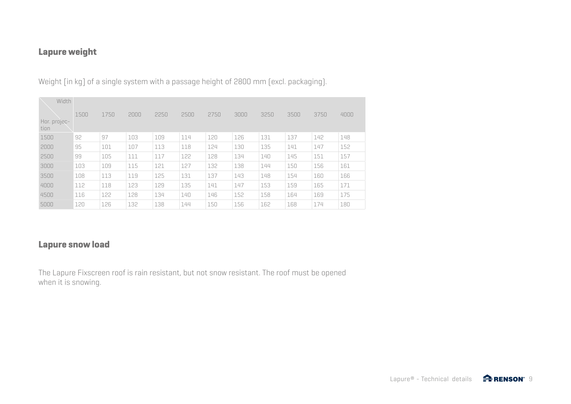# **Lapure weight**

Weight [in kg] of a single system with a passage height of 2800 mm (excl. packaging).

| Width                |      |      |      |      |      |      |      |      |      |      |      |
|----------------------|------|------|------|------|------|------|------|------|------|------|------|
| Hor. projec-<br>tion | 1500 | 1750 | 2000 | 2250 | 2500 | 2750 | 3000 | 3250 | 3500 | 3750 | 4000 |
| 1500                 | 92   | 97   | 103  | 109  | 114  | 120  | 126  | 131  | 137  | 142  | 148  |
| 2000                 | 95   | 101  | 107  | 113  | 118  | 124  | 130  | 135  | 141  | 147  | 152  |
| 2500                 | 99   | 105  | 111  | 117  | 122  | 128  | 134  | 140  | 145  | 151  | 157  |
| 3000                 | 103  | 109  | 115  | 121  | 127  | 132  | 138  | 144  | 150  | 156  | 161  |
| 3500                 | 108  | 113  | 119  | 125  | 131  | 137  | 143  | 148  | 154  | 160  | 166  |
| 4000                 | 112  | 118  | 123  | 129  | 135  | 141  | 147  | 153  | 159  | 165  | 171  |
| 4500                 | 116  | 122  | 128  | 134  | 140  | 146  | 152  | 158  | 164  | 169  | 175  |
| 5000                 | 120  | 126  | 132  | 138  | 144  | 150  | 156  | 162  | 168  | 174  | 180  |

### **Lapure snow load**

The Lapure Fixscreen roof is rain resistant, but not snow resistant. The roof must be opened when it is snowing.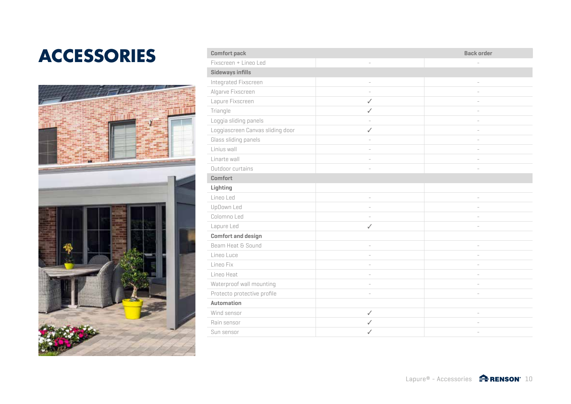# $ACCESSORIES$



| <b>Comfort pack</b>              |              | <b>Back order</b> |  |  |  |  |
|----------------------------------|--------------|-------------------|--|--|--|--|
| Fixscreen + Lineo Led            |              |                   |  |  |  |  |
| Sideways infills                 |              |                   |  |  |  |  |
| Integrated Fixscreen             |              |                   |  |  |  |  |
| Algarve Fixscreen                |              |                   |  |  |  |  |
| Lapure Fixscreen                 | $\checkmark$ |                   |  |  |  |  |
| Triangle                         | $\checkmark$ |                   |  |  |  |  |
| Loggia sliding panels            |              |                   |  |  |  |  |
| Loggiascreen Canvas sliding door | ✓            |                   |  |  |  |  |
| Glass sliding panels             |              |                   |  |  |  |  |
| Linius wall                      |              |                   |  |  |  |  |
| Linarte wall                     |              |                   |  |  |  |  |
| Outdoor curtains                 |              |                   |  |  |  |  |
| <b>Comfort</b>                   |              |                   |  |  |  |  |
| Lighting                         |              |                   |  |  |  |  |
| Lineo Led                        | í.           |                   |  |  |  |  |
| UpDown Led                       |              |                   |  |  |  |  |
| Colomno Led                      |              |                   |  |  |  |  |
| Lapure Led                       | $\checkmark$ |                   |  |  |  |  |
| <b>Comfort and design</b>        |              |                   |  |  |  |  |
| Beam Heat & Sound                |              |                   |  |  |  |  |
| Lineo Luce                       |              |                   |  |  |  |  |
| Lineo Fix                        |              |                   |  |  |  |  |
| Lineo Heat                       |              |                   |  |  |  |  |
| Waterproof wall mounting         |              |                   |  |  |  |  |
| Protecto protective profile      |              |                   |  |  |  |  |
| <b>Automation</b>                |              |                   |  |  |  |  |
| Wind sensor                      | $\checkmark$ |                   |  |  |  |  |
| Rain sensor                      | ✓            |                   |  |  |  |  |
| Sun sensor                       | ✓            |                   |  |  |  |  |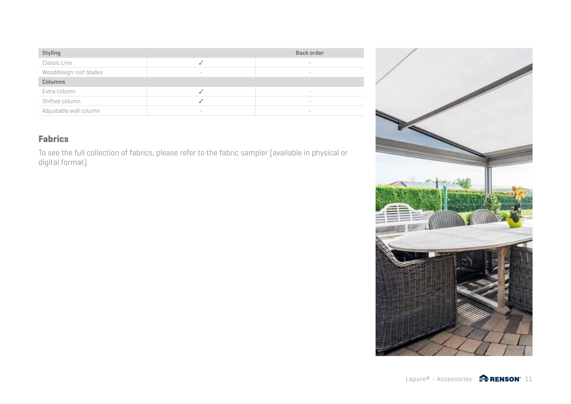| <b>Styling</b>         |                | <b>Back order</b>        |
|------------------------|----------------|--------------------------|
| Classic Line           |                | $\sim$                   |
| Wooddesign roof blades | <b>Service</b> | <b>Service</b>           |
| <b>Columns</b>         |                |                          |
| Extra column           |                |                          |
| Shifted column         |                | $\overline{\phantom{a}}$ |
| Adjustable wall column | $\sim$         |                          |

# **Fabrics**

To see the full collection of fabrics, please refer to the fabric sampler (available in physical or digital format).



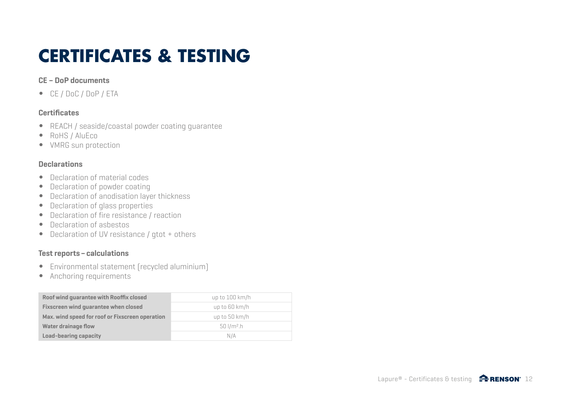# **CERTIFICATES & TESTING**

### **CE – DoP documents**

• CE / DoC / DoP / ETA

### **Certificates**

- REACH / seaside/coastal powder coating guarantee
- RoHS / AluEco
- VMRG sun protection

### **Declarations**

- Declaration of material codes
- Declaration of powder coating
- Declaration of anodisation layer thickness
- Declaration of glass properties
- Declaration of fire resistance / reaction
- Declaration of asbestos
- Declaration of UV resistance / gtot + others

### **Test reports–calculations**

- Environmental statement (recycled aluminium)
- Anchoring requirements

| Roof wind guarantee with Rooffix closed         | up to $100 \ km/h$       |
|-------------------------------------------------|--------------------------|
| Fixscreen wind quarantee when closed            | up to $60 \ km/h$        |
| Max. wind speed for roof or Fixscreen operation | up to 50 km/h            |
| <b>Water drainage flow</b>                      | $50$ l/m <sup>2</sup> .h |
| Load-bearing capacity                           | N/A                      |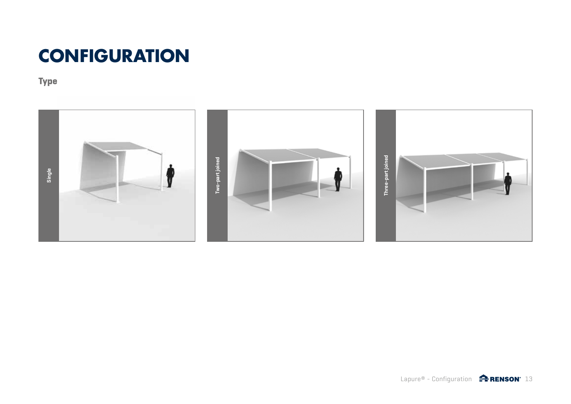# **CONFIGURATION**

**Type**

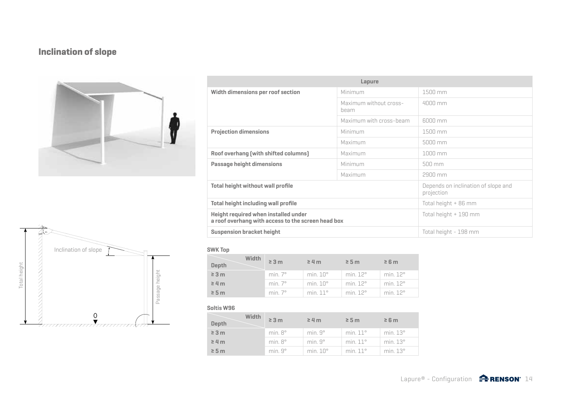# **Inclination of slope**



| 兔                                      |
|----------------------------------------|
| Inclination of slope                   |
| height<br>height                       |
| Total<br>∸<br>Passage                  |
|                                        |
| <u> TIIIIIIIIIIIIIIIIIIIIIIIIXIITT</u> |

| Lapure                                                                                     |                                |                                                   |  |  |
|--------------------------------------------------------------------------------------------|--------------------------------|---------------------------------------------------|--|--|
| Width dimensions per roof section                                                          | Minimum                        | 1500 mm                                           |  |  |
|                                                                                            | Maximum without cross-<br>beam | $4000$ mm                                         |  |  |
|                                                                                            | Maximum with cross-beam        | 6000 mm                                           |  |  |
| <b>Projection dimensions</b>                                                               | Minimum                        | $1500$ mm                                         |  |  |
|                                                                                            | Maximum                        | 5000 mm                                           |  |  |
| Roof overhang (with shifted columns)<br>Maximum                                            |                                | $1000$ mm                                         |  |  |
| Passage height dimensions                                                                  | Minimum                        | 500 mm                                            |  |  |
|                                                                                            | Maximum                        | 2900 mm                                           |  |  |
| <b>Total height without wall profile</b>                                                   |                                | Depends on inclination of slope and<br>projection |  |  |
| Total height including wall profile                                                        |                                | Total height + 86 mm                              |  |  |
| Height required when installed under<br>a roof overhang with access to the screen head box |                                | Total height + 190 mm                             |  |  |
| <b>Suspension bracket height</b>                                                           |                                | Total height - 198 mm                             |  |  |

#### **SWK Top**

| Width<br><b>Depth</b> | $\geq 3$ m     | $\geq$ 4 m          | $\geq$ 5 m           | $\geq 6$ m |
|-----------------------|----------------|---------------------|----------------------|------------|
| $\geq 3$ m            | min. $7^\circ$ | min. $10^{\circ}$   | min. 12 <sup>°</sup> | min.12°    |
| $\geq 4$ m            | min. $7^\circ$ | min.10°             | min. 12 <sup>°</sup> | min.12°    |
| $\geq$ 5 m            | min. $7^\circ$ | min.11 <sup>°</sup> | min.12°              | min.12°    |

#### **Soltis W96**

| Width<br>Depth | $\geq 3$ m       | $\geq$ 4 m           | $\geq$ 5 m        | $\geq 6$ m      |
|----------------|------------------|----------------------|-------------------|-----------------|
| $\geq 3$ m     | $min. 8^{\circ}$ | min.9°               | min. $11^\circ$   | min. $13^\circ$ |
| $\geq 4$ m     | $min. 8^{\circ}$ | min.9°               | min. $11^\circ$   | min.13°         |
| $\geq$ 5 m     | min.9°           | min. 10 <sup>o</sup> | min. $11^{\circ}$ | min. $13^\circ$ |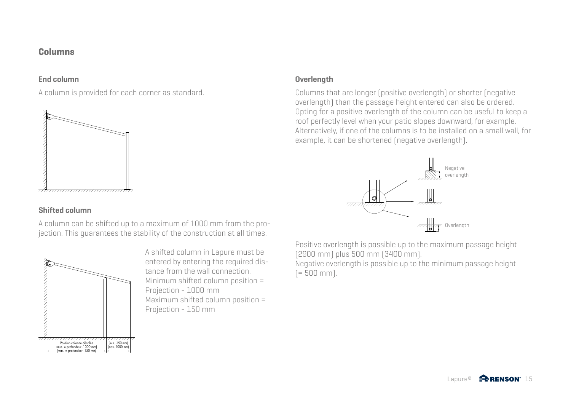### **Columns**

### **End column**

A column is provided for each corner as standard.



### **Shifted column**

A column can be shifted up to a maximum of 1000 mm from the projection. This guarantees the stability of the construction at all times.



A shifted column in Lapure must be entered by entering the required distance from the wall connection. Minimum shifted column position = Projection - 1000 mm Maximum shifted column position = Projection - 150 mm

### **Overlength**

Columns that are longer (positive overlength) or shorter (negative overlength) than the passage height entered can also be ordered. Opting for a positive overlength of the column can be useful to keep a roof perfectly level when your patio slopes downward, for example. Alternatively, if one of the columns is to be installed on a small wall, for example, it can be shortened (negative overlength).



Positive overlength is possible up to the maximum passage height (2900 mm) plus 500 mm (3400 mm).

Negative overlength is possible up to the minimum passage height  $[= 500$  mm).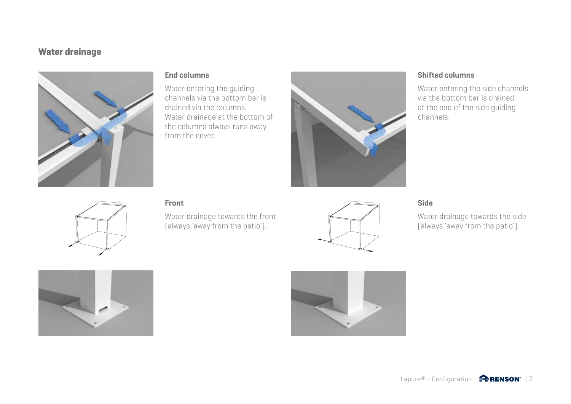### **Water drainage**



### **End columns**

Water entering the guiding channels via the bottom bar is drained via the columns. Water drainage at the bottom of the columns always runs away from the cover.



### **Shifted columns**

Water entering the side channels via the bottom bar is drained at the end of the side guiding channels.



### **Front**

Water drainage towards the front (always 'away from the patio').



### **Side**

Water drainage towards the side (always 'away from the patio').